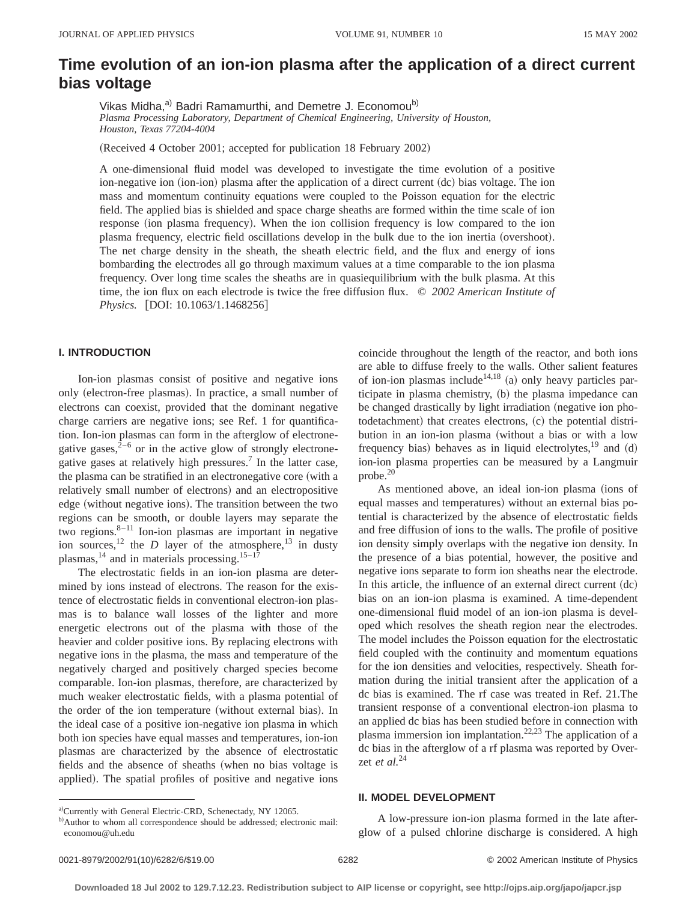# **Time evolution of an ion-ion plasma after the application of a direct current bias voltage**

Vikas Midha,<sup>a)</sup> Badri Ramamurthi, and Demetre J. Economou<sup>b)</sup> *Plasma Processing Laboratory, Department of Chemical Engineering, University of Houston, Houston, Texas 77204-4004*

(Received 4 October 2001; accepted for publication 18 February 2002)

A one-dimensional fluid model was developed to investigate the time evolution of a positive ion-negative ion (ion-ion) plasma after the application of a direct current  $\overline{d}c$  bias voltage. The ion mass and momentum continuity equations were coupled to the Poisson equation for the electric field. The applied bias is shielded and space charge sheaths are formed within the time scale of ion response (ion plasma frequency). When the ion collision frequency is low compared to the ion plasma frequency, electric field oscillations develop in the bulk due to the ion inertia (overshoot). The net charge density in the sheath, the sheath electric field, and the flux and energy of ions bombarding the electrodes all go through maximum values at a time comparable to the ion plasma frequency. Over long time scales the sheaths are in quasiequilibrium with the bulk plasma. At this time, the ion flux on each electrode is twice the free diffusion flux. © *2002 American Institute of Physics.* [DOI: 10.1063/1.1468256]

# **I. INTRODUCTION**

Ion-ion plasmas consist of positive and negative ions only (electron-free plasmas). In practice, a small number of electrons can coexist, provided that the dominant negative charge carriers are negative ions; see Ref. 1 for quantification. Ion-ion plasmas can form in the afterglow of electronegative gases, $2^{-6}$  or in the active glow of strongly electronegative gases at relatively high pressures.7 In the latter case, the plasma can be stratified in an electronegative core (with a relatively small number of electrons) and an electropositive edge (without negative ions). The transition between the two regions can be smooth, or double layers may separate the two regions.8–11 Ion-ion plasmas are important in negative ion sources,<sup>12</sup> the *D* layer of the atmosphere,<sup>13</sup> in dusty plasmas,  $^{14}$  and in materials processing.<sup>15–17</sup>

The electrostatic fields in an ion-ion plasma are determined by ions instead of electrons. The reason for the existence of electrostatic fields in conventional electron-ion plasmas is to balance wall losses of the lighter and more energetic electrons out of the plasma with those of the heavier and colder positive ions. By replacing electrons with negative ions in the plasma, the mass and temperature of the negatively charged and positively charged species become comparable. Ion-ion plasmas, therefore, are characterized by much weaker electrostatic fields, with a plasma potential of the order of the ion temperature (without external bias). In the ideal case of a positive ion-negative ion plasma in which both ion species have equal masses and temperatures, ion-ion plasmas are characterized by the absence of electrostatic fields and the absence of sheaths (when no bias voltage is applied). The spatial profiles of positive and negative ions coincide throughout the length of the reactor, and both ions are able to diffuse freely to the walls. Other salient features of ion-ion plasmas include<sup>14,18</sup> (a) only heavy particles participate in plasma chemistry,  $(b)$  the plasma impedance can be changed drastically by light irradiation (negative ion photodetachment) that creates electrons, (c) the potential distribution in an ion-ion plasma (without a bias or with a low frequency bias) behaves as in liquid electrolytes, $^{19}$  and (d) ion-ion plasma properties can be measured by a Langmuir probe.20

As mentioned above, an ideal ion-ion plasma (ions of equal masses and temperatures) without an external bias potential is characterized by the absence of electrostatic fields and free diffusion of ions to the walls. The profile of positive ion density simply overlaps with the negative ion density. In the presence of a bias potential, however, the positive and negative ions separate to form ion sheaths near the electrode. In this article, the influence of an external direct current  $\left(\text{dc}\right)$ bias on an ion-ion plasma is examined. A time-dependent one-dimensional fluid model of an ion-ion plasma is developed which resolves the sheath region near the electrodes. The model includes the Poisson equation for the electrostatic field coupled with the continuity and momentum equations for the ion densities and velocities, respectively. Sheath formation during the initial transient after the application of a dc bias is examined. The rf case was treated in Ref. 21.The transient response of a conventional electron-ion plasma to an applied dc bias has been studied before in connection with plasma immersion ion implantation.22,23 The application of a dc bias in the afterglow of a rf plasma was reported by Overzet *et al.*<sup>24</sup>

#### **II. MODEL DEVELOPMENT**

A low-pressure ion-ion plasma formed in the late afterglow of a pulsed chlorine discharge is considered. A high

a)Currently with General Electric-CRD, Schenectady, NY 12065.

b)Author to whom all correspondence should be addressed; electronic mail: economou@uh.edu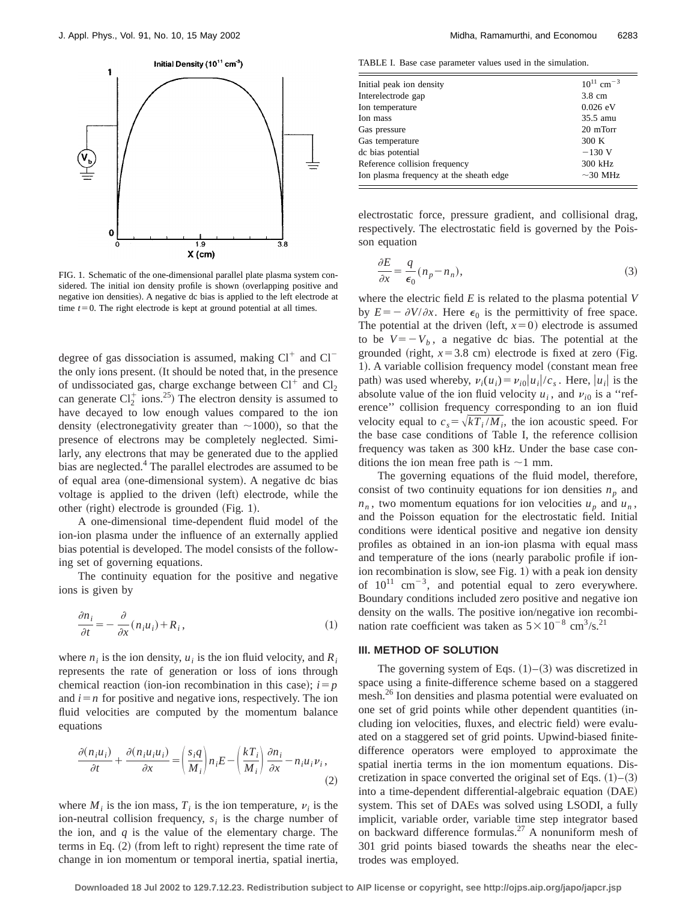

FIG. 1. Schematic of the one-dimensional parallel plate plasma system considered. The initial ion density profile is shown (overlapping positive and negative ion densities). A negative dc bias is applied to the left electrode at time  $t=0$ . The right electrode is kept at ground potential at all times.

degree of gas dissociation is assumed, making  $Cl^+$  and  $Cl^$ the only ions present. (It should be noted that, in the presence of undissociated gas, charge exchange between  $Cl<sup>+</sup>$  and  $Cl<sub>2</sub>$ can generate  $Cl_2^+$  ions.<sup>25</sup>) The electron density is assumed to have decayed to low enough values compared to the ion density (electronegativity greater than  $\sim$ 1000), so that the presence of electrons may be completely neglected. Similarly, any electrons that may be generated due to the applied bias are neglected.<sup>4</sup> The parallel electrodes are assumed to be of equal area (one-dimensional system). A negative dc bias voltage is applied to the driven (left) electrode, while the other (right) electrode is grounded (Fig. 1).

A one-dimensional time-dependent fluid model of the ion-ion plasma under the influence of an externally applied bias potential is developed. The model consists of the following set of governing equations.

The continuity equation for the positive and negative ions is given by

$$
\frac{\partial n_i}{\partial t} = -\frac{\partial}{\partial x}(n_i u_i) + R_i, \qquad (1)
$$

where  $n_i$  is the ion density,  $u_i$  is the ion fluid velocity, and  $R_i$ represents the rate of generation or loss of ions through chemical reaction (ion-ion recombination in this case);  $i = p$ and  $i = n$  for positive and negative ions, respectively. The ion fluid velocities are computed by the momentum balance equations

$$
\frac{\partial (n_i u_i)}{\partial t} + \frac{\partial (n_i u_i u_i)}{\partial x} = \left(\frac{s_i q}{M_i}\right) n_i E - \left(\frac{k_i}{M_i}\right) \frac{\partial n_i}{\partial x} - n_i u_i \nu_i,
$$
\n(2)

where  $M_i$  is the ion mass,  $T_i$  is the ion temperature,  $v_i$  is the ion-neutral collision frequency,  $s_i$  is the charge number of the ion, and  $q$  is the value of the elementary charge. The terms in Eq.  $(2)$  (from left to right) represent the time rate of change in ion momentum or temporal inertia, spatial inertia,

TABLE I. Base case parameter values used in the simulation.

| Initial peak ion density                | $10^{11}$ cm <sup>-3</sup> |
|-----------------------------------------|----------------------------|
| Interelectrode gap                      | 3.8 cm                     |
| Ion temperature                         | $0.026$ eV                 |
| Ion mass                                | 35.5 amu                   |
| Gas pressure                            | 20 mTorr                   |
| Gas temperature                         | 300 K                      |
| dc bias potential                       | $-130$ V                   |
| Reference collision frequency           | 300 kHz                    |
| Ion plasma frequency at the sheath edge | $\sim$ 30 MHz              |
|                                         |                            |

electrostatic force, pressure gradient, and collisional drag, respectively. The electrostatic field is governed by the Poisson equation

$$
\frac{\partial E}{\partial x} = \frac{q}{\epsilon_0} (n_p - n_n),\tag{3}
$$

where the electric field *E* is related to the plasma potential *V* by  $E=-\partial V/\partial x$ . Here  $\epsilon_0$  is the permittivity of free space. The potential at the driven (left,  $x=0$ ) electrode is assumed to be  $V=-V_b$ , a negative dc bias. The potential at the grounded (right,  $x=3.8$  cm) electrode is fixed at zero (Fig. 1). A variable collision frequency model (constant mean free path) was used whereby,  $v_i(u_i) = v_{i0} |u_i|/c_s$ . Here,  $|u_i|$  is the absolute value of the ion fluid velocity  $u_i$ , and  $v_{i0}$  is a "reference'' collision frequency corresponding to an ion fluid velocity equal to  $c_s = \sqrt{kT_i / M_i}$ , the ion acoustic speed. For the base case conditions of Table I, the reference collision frequency was taken as 300 kHz. Under the base case conditions the ion mean free path is  $\sim$ 1 mm.

The governing equations of the fluid model, therefore, consist of two continuity equations for ion densities  $n_p$  and  $n_n$ , two momentum equations for ion velocities  $u_n$  and  $u_n$ , and the Poisson equation for the electrostatic field. Initial conditions were identical positive and negative ion density profiles as obtained in an ion-ion plasma with equal mass and temperature of the ions (nearly parabolic profile if ionion recombination is slow, see Fig.  $1$ ) with a peak ion density of  $10^{11}$  cm<sup>-3</sup>, and potential equal to zero everywhere. Boundary conditions included zero positive and negative ion density on the walls. The positive ion/negative ion recombination rate coefficient was taken as  $5 \times 10^{-8}$  cm<sup>3</sup>/s.<sup>21</sup>

# **III. METHOD OF SOLUTION**

The governing system of Eqs.  $(1)$ – $(3)$  was discretized in space using a finite-difference scheme based on a staggered mesh.<sup>26</sup> Ion densities and plasma potential were evaluated on one set of grid points while other dependent quantities (including ion velocities, fluxes, and electric field) were evaluated on a staggered set of grid points. Upwind-biased finitedifference operators were employed to approximate the spatial inertia terms in the ion momentum equations. Discretization in space converted the original set of Eqs.  $(1)$ – $(3)$ into a time-dependent differential-algebraic equation (DAE) system. This set of DAEs was solved using LSODI, a fully implicit, variable order, variable time step integrator based on backward difference formulas.<sup>27</sup> A nonuniform mesh of 301 grid points biased towards the sheaths near the electrodes was employed.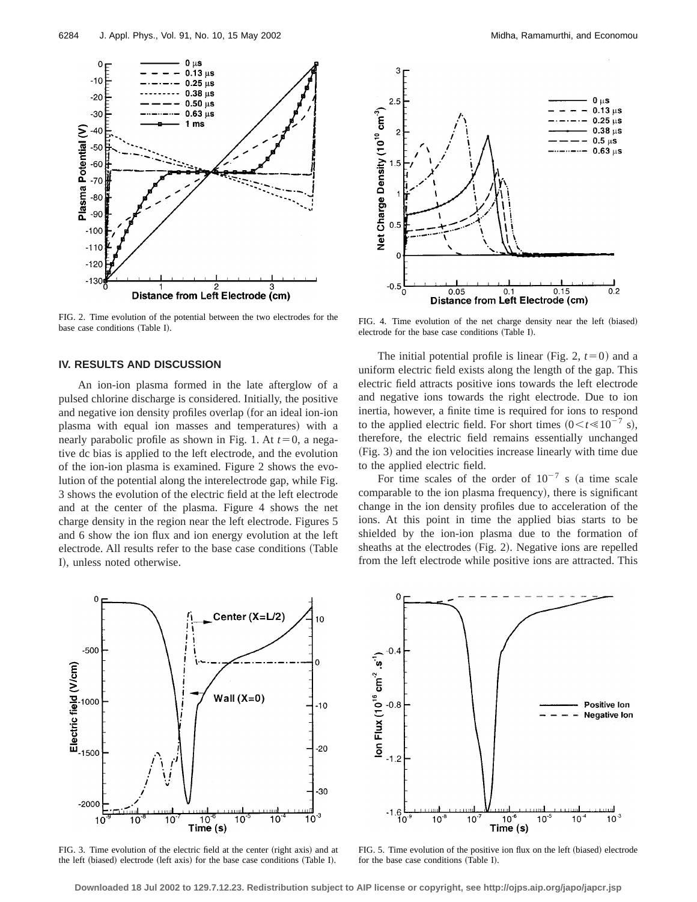

FIG. 2. Time evolution of the potential between the two electrodes for the base case conditions (Table I).

### **IV. RESULTS AND DISCUSSION**

An ion-ion plasma formed in the late afterglow of a pulsed chlorine discharge is considered. Initially, the positive and negative ion density profiles overlap (for an ideal ion-ion plasma with equal ion masses and temperatures) with a nearly parabolic profile as shown in Fig. 1. At  $t=0$ , a negative dc bias is applied to the left electrode, and the evolution of the ion-ion plasma is examined. Figure 2 shows the evolution of the potential along the interelectrode gap, while Fig. 3 shows the evolution of the electric field at the left electrode and at the center of the plasma. Figure 4 shows the net charge density in the region near the left electrode. Figures 5 and 6 show the ion flux and ion energy evolution at the left electrode. All results refer to the base case conditions (Table I), unless noted otherwise.



FIG. 3. Time evolution of the electric field at the center (right axis) and at the left (biased) electrode (left axis) for the base case conditions (Table I).



FIG. 4. Time evolution of the net charge density near the left (biased) electrode for the base case conditions (Table I).

The initial potential profile is linear (Fig. 2,  $t=0$ ) and a uniform electric field exists along the length of the gap. This electric field attracts positive ions towards the left electrode and negative ions towards the right electrode. Due to ion inertia, however, a finite time is required for ions to respond to the applied electric field. For short times  $(0 \lt t \ll 10^{-7} \text{ s})$ , therefore, the electric field remains essentially unchanged ~Fig. 3! and the ion velocities increase linearly with time due to the applied electric field.

For time scales of the order of  $10^{-7}$  s (a time scale comparable to the ion plasma frequency), there is significant change in the ion density profiles due to acceleration of the ions. At this point in time the applied bias starts to be shielded by the ion-ion plasma due to the formation of sheaths at the electrodes (Fig. 2). Negative ions are repelled from the left electrode while positive ions are attracted. This



FIG. 5. Time evolution of the positive ion flux on the left (biased) electrode for the base case conditions (Table I).

**Downloaded 18 Jul 2002 to 129.7.12.23. Redistribution subject to AIP license or copyright, see http://ojps.aip.org/japo/japcr.jsp**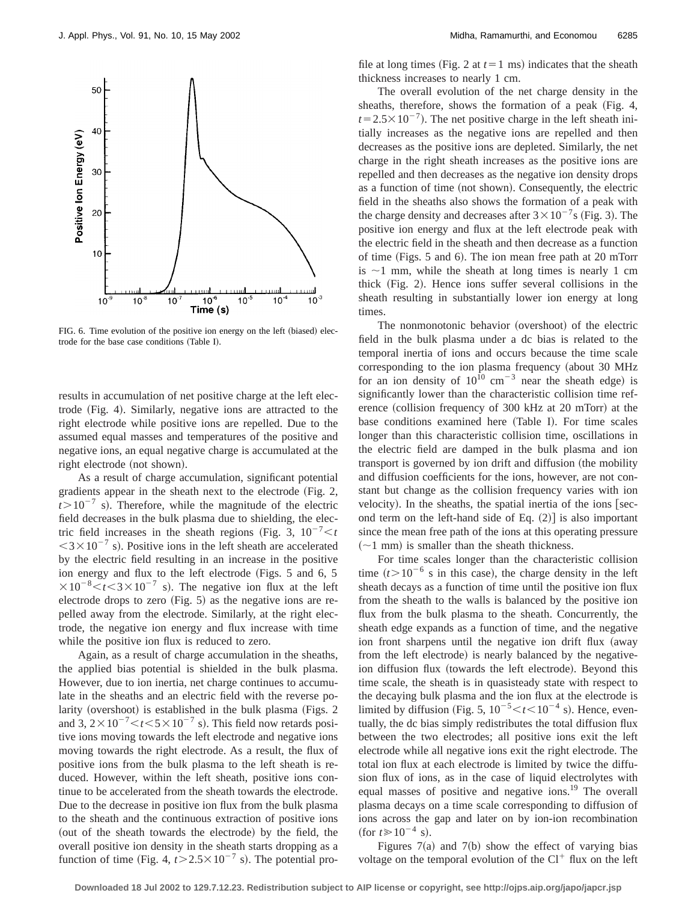

FIG. 6. Time evolution of the positive ion energy on the left (biased) electrode for the base case conditions (Table I).

results in accumulation of net positive charge at the left electrode (Fig. 4). Similarly, negative ions are attracted to the right electrode while positive ions are repelled. Due to the assumed equal masses and temperatures of the positive and negative ions, an equal negative charge is accumulated at the right electrode (not shown).

As a result of charge accumulation, significant potential gradients appear in the sheath next to the electrode  $(Fig. 2,$  $t > 10^{-7}$  s). Therefore, while the magnitude of the electric field decreases in the bulk plasma due to shielding, the electric field increases in the sheath regions (Fig. 3,  $10^{-7} < t$ )  $<$ 3 $\times$ 10<sup>-7</sup> s). Positive ions in the left sheath are accelerated by the electric field resulting in an increase in the positive ion energy and flux to the left electrode (Figs.  $5$  and  $6$ ,  $5$  $\times 10^{-8}$  km<sup>-8</sup> s in The negative ion flux at the left electrode drops to zero  $(Fig. 5)$  as the negative ions are repelled away from the electrode. Similarly, at the right electrode, the negative ion energy and flux increase with time while the positive ion flux is reduced to zero.

Again, as a result of charge accumulation in the sheaths, the applied bias potential is shielded in the bulk plasma. However, due to ion inertia, net charge continues to accumulate in the sheaths and an electric field with the reverse polarity (overshoot) is established in the bulk plasma (Figs.  $2$ and 3,  $2 \times 10^{-7} < t < 5 \times 10^{-7}$  s). This field now retards positive ions moving towards the left electrode and negative ions moving towards the right electrode. As a result, the flux of positive ions from the bulk plasma to the left sheath is reduced. However, within the left sheath, positive ions continue to be accelerated from the sheath towards the electrode. Due to the decrease in positive ion flux from the bulk plasma to the sheath and the continuous extraction of positive ions (out of the sheath towards the electrode) by the field, the overall positive ion density in the sheath starts dropping as a function of time (Fig. 4,  $t > 2.5 \times 10^{-7}$  s). The potential profile at long times (Fig. 2 at  $t=1$  ms) indicates that the sheath thickness increases to nearly 1 cm.

The overall evolution of the net charge density in the sheaths, therefore, shows the formation of a peak (Fig. 4,  $t=2.5\times10^{-7}$ ). The net positive charge in the left sheath initially increases as the negative ions are repelled and then decreases as the positive ions are depleted. Similarly, the net charge in the right sheath increases as the positive ions are repelled and then decreases as the negative ion density drops as a function of time (not shown). Consequently, the electric field in the sheaths also shows the formation of a peak with the charge density and decreases after  $3 \times 10^{-7}$ s (Fig. 3). The positive ion energy and flux at the left electrode peak with the electric field in the sheath and then decrease as a function of time (Figs. 5 and 6). The ion mean free path at 20 mTorr is  $\sim$ 1 mm, while the sheath at long times is nearly 1 cm thick  $(Fig. 2)$ . Hence ions suffer several collisions in the sheath resulting in substantially lower ion energy at long times.

The nonmonotonic behavior (overshoot) of the electric field in the bulk plasma under a dc bias is related to the temporal inertia of ions and occurs because the time scale corresponding to the ion plasma frequency (about 30 MHz for an ion density of  $10^{10}$  cm<sup>-3</sup> near the sheath edge) is significantly lower than the characteristic collision time reference (collision frequency of  $300 \text{ kHz}$  at  $20 \text{ mTorr}$ ) at the base conditions examined here (Table I). For time scales longer than this characteristic collision time, oscillations in the electric field are damped in the bulk plasma and ion transport is governed by ion drift and diffusion (the mobility and diffusion coefficients for the ions, however, are not constant but change as the collision frequency varies with ion velocity). In the sheaths, the spatial inertia of the ions  $\lceil$  second term on the left-hand side of Eq.  $(2)$ ] is also important since the mean free path of the ions at this operating pressure  $(-1$  mm) is smaller than the sheath thickness.

For time scales longer than the characteristic collision time  $(t>10^{-6}$  s in this case), the charge density in the left sheath decays as a function of time until the positive ion flux from the sheath to the walls is balanced by the positive ion flux from the bulk plasma to the sheath. Concurrently, the sheath edge expands as a function of time, and the negative ion front sharpens until the negative ion drift flux (away from the left electrode) is nearly balanced by the negativeion diffusion flux (towards the left electrode). Beyond this time scale, the sheath is in quasisteady state with respect to the decaying bulk plasma and the ion flux at the electrode is limited by diffusion (Fig. 5,  $10^{-5} < t < 10^{-4}$  s). Hence, eventually, the dc bias simply redistributes the total diffusion flux between the two electrodes; all positive ions exit the left electrode while all negative ions exit the right electrode. The total ion flux at each electrode is limited by twice the diffusion flux of ions, as in the case of liquid electrolytes with equal masses of positive and negative ions.<sup>19</sup> The overall plasma decays on a time scale corresponding to diffusion of ions across the gap and later on by ion-ion recombination  $({\rm for} t \ge 10^{-4} \text{ s}).$ 

Figures  $7(a)$  and  $7(b)$  show the effect of varying bias voltage on the temporal evolution of the  $Cl^+$  flux on the left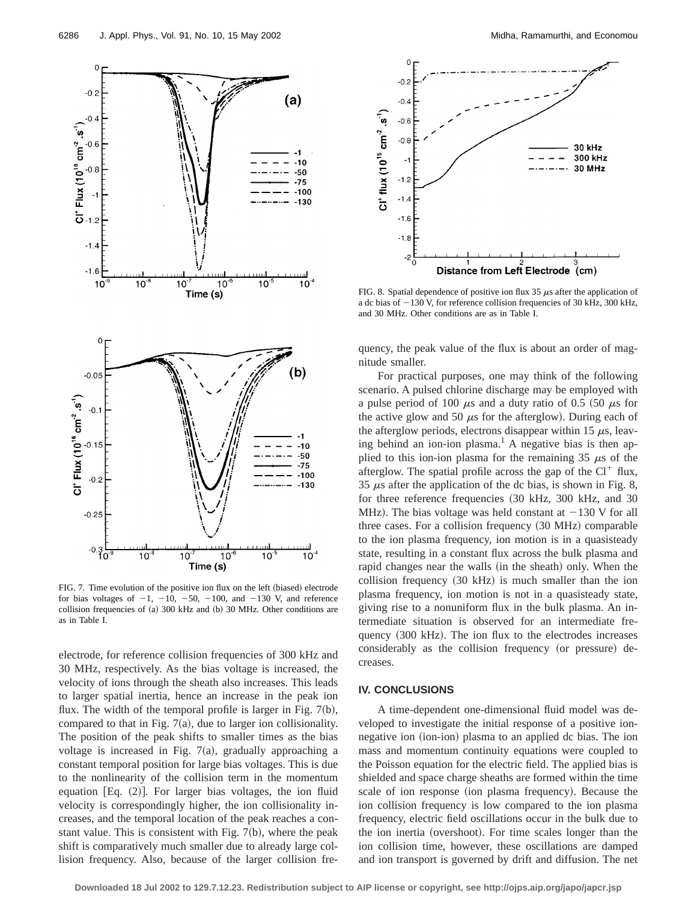

FIG. 7. Time evolution of the positive ion flux on the left (biased) electrode for bias voltages of  $-1$ ,  $-10$ ,  $-50$ ,  $-100$ , and  $-130$  V, and reference collision frequencies of  $(a)$  300 kHz and  $(b)$  30 MHz. Other conditions are as in Table I.

electrode, for reference collision frequencies of 300 kHz and 30 MHz, respectively. As the bias voltage is increased, the velocity of ions through the sheath also increases. This leads to larger spatial inertia, hence an increase in the peak ion flux. The width of the temporal profile is larger in Fig.  $7(b)$ , compared to that in Fig.  $7(a)$ , due to larger ion collisionality. The position of the peak shifts to smaller times as the bias voltage is increased in Fig.  $7(a)$ , gradually approaching a constant temporal position for large bias voltages. This is due to the nonlinearity of the collision term in the momentum equation [Eq.  $(2)$ ]. For larger bias voltages, the ion fluid velocity is correspondingly higher, the ion collisionality increases, and the temporal location of the peak reaches a constant value. This is consistent with Fig.  $7(b)$ , where the peak shift is comparatively much smaller due to already large collision frequency. Also, because of the larger collision fre-



FIG. 8. Spatial dependence of positive ion flux 35  $\mu$ s after the application of a dc bias of  $-130$  V, for reference collision frequencies of 30 kHz, 300 kHz, and 30 MHz. Other conditions are as in Table I.

quency, the peak value of the flux is about an order of magnitude smaller.

For practical purposes, one may think of the following scenario. A pulsed chlorine discharge may be employed with a pulse period of 100  $\mu$ s and a duty ratio of 0.5 (50  $\mu$ s for the active glow and 50  $\mu$ s for the afterglow). During each of the afterglow periods, electrons disappear within 15  $\mu$ s, leaving behind an ion-ion plasma.<sup>1</sup> A negative bias is then applied to this ion-ion plasma for the remaining 35  $\mu$ s of the afterglow. The spatial profile across the gap of the  $Cl^+$  flux, 35  $\mu$ s after the application of the dc bias, is shown in Fig. 8, for three reference frequencies  $(30 \text{ kHz}, 300 \text{ kHz}, \text{ and } 30$ MHz). The bias voltage was held constant at  $-130$  V for all three cases. For a collision frequency  $(30 \text{ MHz})$  comparable to the ion plasma frequency, ion motion is in a quasisteady state, resulting in a constant flux across the bulk plasma and rapid changes near the walls (in the sheath) only. When the collision frequency  $(30 \text{ kHz})$  is much smaller than the ion plasma frequency, ion motion is not in a quasisteady state, giving rise to a nonuniform flux in the bulk plasma. An intermediate situation is observed for an intermediate frequency  $(300 \text{ kHz})$ . The ion flux to the electrodes increases considerably as the collision frequency (or pressure) decreases.

# **IV. CONCLUSIONS**

A time-dependent one-dimensional fluid model was developed to investigate the initial response of a positive ionnegative ion (ion-ion) plasma to an applied dc bias. The ion mass and momentum continuity equations were coupled to the Poisson equation for the electric field. The applied bias is shielded and space charge sheaths are formed within the time scale of ion response (ion plasma frequency). Because the ion collision frequency is low compared to the ion plasma frequency, electric field oscillations occur in the bulk due to the ion inertia (overshoot). For time scales longer than the ion collision time, however, these oscillations are damped and ion transport is governed by drift and diffusion. The net